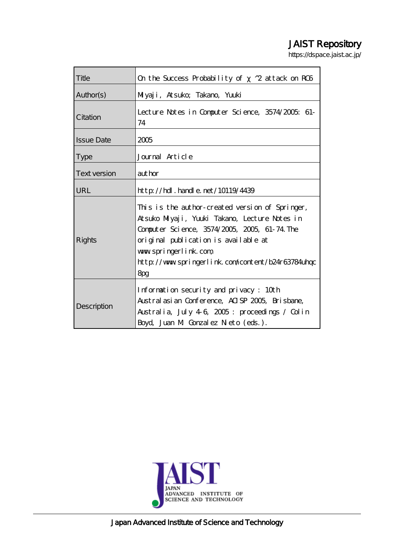# JAIST Repository

https://dspace.jaist.ac.jp/

| Title             | On the Success Probability of 2 attack on ROS                                                                                                                                                                                                                                 |
|-------------------|-------------------------------------------------------------------------------------------------------------------------------------------------------------------------------------------------------------------------------------------------------------------------------|
| Author(s)         | Miyaji, Atsuko; Takano, Yuuki                                                                                                                                                                                                                                                 |
| Citation          | Lecture Notes in Computer Science, 3574/2005; 61-<br>74                                                                                                                                                                                                                       |
| <b>Issue Date</b> | 2005                                                                                                                                                                                                                                                                          |
| <b>Type</b>       | Journal Article                                                                                                                                                                                                                                                               |
| Text version      | author                                                                                                                                                                                                                                                                        |
| URL               | $http$ // $rdl$ . handle. net/10119/4439                                                                                                                                                                                                                                      |
| Rights            | This is the author-created version of Springer,<br>Atsuko Miyaji, Yuuki Takano, Lecture Notes in<br>Computer Science, 3574/2005, 2005, 61-74. The<br>original publication is available at<br>www.springerlink.com<br>http://www.springerlink.com/content/b24r63784uhop<br>8pg |
| Description       | Information security and privacy: 10th<br>Austral asian Conference, AISP 2005, Brisbane,<br>Australia, July 46, 2005: proceedings / Colin<br>Boyd, Juan M Gonzalez Neto (eds.).                                                                                               |



Japan Advanced Institute of Science and Technology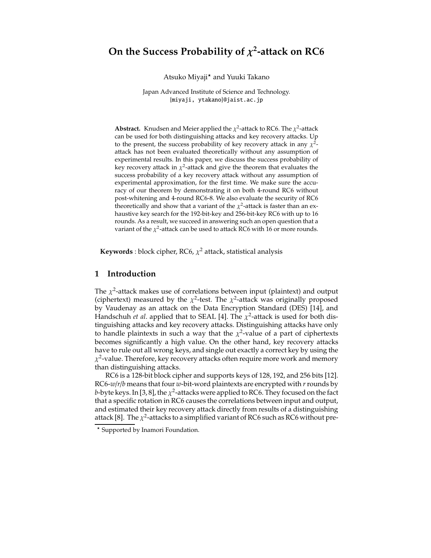## **On the Success Probability of**  $\chi^2$ **-attack on RC6**

Atsuko Miyaji\* and Yuuki Takano

Japan Advanced Institute of Science and Technology. {miyaji, ytakano}@jaist.ac.jp

**Abstract.** Knudsen and Meier applied the  $\chi^2$ -attack to RC6. The  $\chi^2$ -attack can be used for both distinguishing attacks and key recovery attacks. Up to the present, the success probability of key recovery attack in any  $\chi^2$ attack has not been evaluated theoretically without any assumption of experimental results. In this paper, we discuss the success probability of key recovery attack in  $\chi^2$ -attack and give the theorem that evaluates the success probability of a key recovery attack without any assumption of experimental approximation, for the first time. We make sure the accuracy of our theorem by demonstrating it on both 4-round RC6 without post-whitening and 4-round RC6-8. We also evaluate the security of RC6 theoretically and show that a variant of the  $\chi^2$ -attack is faster than an exhaustive key search for the 192-bit-key and 256-bit-key RC6 with up to 16 rounds. As a result, we succeed in answering such an open question that a variant of the  $\chi^2$ -attack can be used to attack RC6 with 16 or more rounds.

**Keywords** : block cipher, RC6,  $\chi^2$  attack, statistical analysis

#### **1 Introduction**

The  $\chi^2$ -attack makes use of correlations between input (plaintext) and output (ciphertext) measured by the  $\chi^2$ -test. The  $\chi^2$ -attack was originally proposed by Vaudenay as an attack on the Data Encryption Standard (DES) [14], and Handschuh *et al.* applied that to SEAL [4]. The  $\chi^2$ -attack is used for both distinguishing attacks and key recovery attacks. Distinguishing attacks have only to handle plaintexts in such a way that the  $\chi^2$ -value of a part of ciphertexts becomes significantly a high value. On the other hand, key recovery attacks have to rule out all wrong keys, and single out exactly a correct key by using the  $\chi^2$ -value. Therefore, key recovery attacks often require more work and memory than distinguishing attacks.

RC6 is a 128-bit block cipher and supports keys of 128, 192, and 256 bits [12]. RC6-*w*/*r*/*b* means that four *w*-bit-word plaintexts are encrypted with *r*rounds by *b*-byte keys. In [3, 8], the  $\chi^2$ -attacks were applied to RC6. They focused on the fact that a specific rotation in RC6 causes the correlations between input and output, and estimated their key recovery attack directly from results of a distinguishing attack [8]. The  $\chi^2$ -attacks to a simplified variant of RC6 such as RC6 without pre-

<sup>\*</sup> Supported by Inamori Foundation.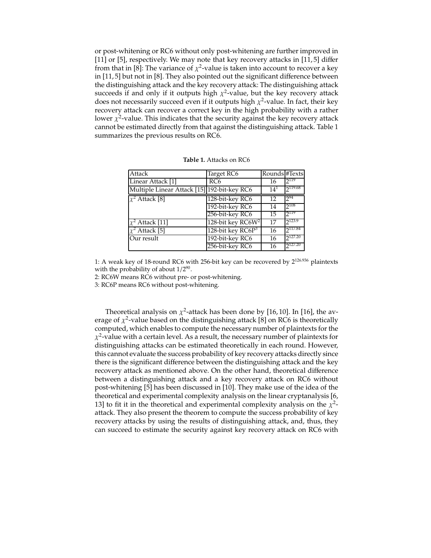or post-whitening or RC6 without only post-whitening are further improved in [11] or [5], respectively. We may note that key recovery attacks in [11,5] differ from that in [8]: The variance of  $\chi^2$ -value is taken into account to recover a key in [11, 5] but not in [8]. They also pointed out the significant difference between the distinguishing attack and the key recovery attack: The distinguishing attack succeeds if and only if it outputs high  $\chi^2$ -value, but the key recovery attack does not necessarily succeed even if it outputs high  $\chi^2$ -value. In fact, their key recovery attack can recover a correct key in the high probability with a rather lower  $\chi^2$ -value. This indicates that the security against the key recovery attack cannot be estimated directly from that against the distinguishing attack. Table 1 summarizes the previous results on RC6.

| Attack                                      | Target RC6                    | Rounds #Texts   |                     |
|---------------------------------------------|-------------------------------|-----------------|---------------------|
| Linear Attack [1]                           | RC6                           | 16              | $2^{119}$           |
| Multiple Linear Attack [15] 192-bit-key RC6 |                               | $14^{1}$        | 2119.68             |
| $\chi^2$ Attack [8]                         | 128-bit-key RC6               | 12              | $2^{94}$            |
|                                             | 192-bit-key RC6               | 14              | $7^{108}$           |
|                                             | 256-bit-key RC6               | $\overline{15}$ | $2^{119}$           |
| $\chi^2$ Attack [11]                        | 128-bit key RC6W <sup>2</sup> | 17              | $2^{123.9}$         |
| $\chi^2$ Attack [5]                         | 128-bit key RC6P <sup>3</sup> | 16              | 2117.84             |
| $\overline{\mathrm{O}}$ ur result           | 192-bit-key RC6               | 16              | $2^{127.20}$        |
|                                             | 256-bit-key RC6               | 16              | 2 <sup>127.20</sup> |

**Table 1.** Attacks on RC6

1: A weak key of 18-round RC6 with 256-bit key can be recovered by 2126.<sup>936</sup> plaintexts with the probability of about  $1/2^{90}$ .

2: RC6W means RC6 without pre- or post-whitening.

3: RC6P means RC6 without post-whitening.

Theoretical analysis on  $\chi^2$ -attack has been done by [16, 10]. In [16], the average of  $\chi^2$ -value based on the distinguishing attack [8] on RC6 is theoretically computed, which enables to compute the necessary number of plaintexts for the  $\chi^2$ -value with a certain level. As a result, the necessary number of plaintexts for distinguishing attacks can be estimated theoretically in each round. However, this cannot evaluate the success probability of key recovery attacks directly since there is the significant difference between the distinguishing attack and the key recovery attack as mentioned above. On the other hand, theoretical difference between a distinguishing attack and a key recovery attack on RC6 without post-whitening [5] has been discussed in [10]. They make use of the idea of the theoretical and experimental complexity analysis on the linear cryptanalysis [6, 13] to fit it in the theoretical and experimental complexity analysis on the  $\chi^2$ attack. They also present the theorem to compute the success probability of key recovery attacks by using the results of distinguishing attack, and, thus, they can succeed to estimate the security against key recovery attack on RC6 with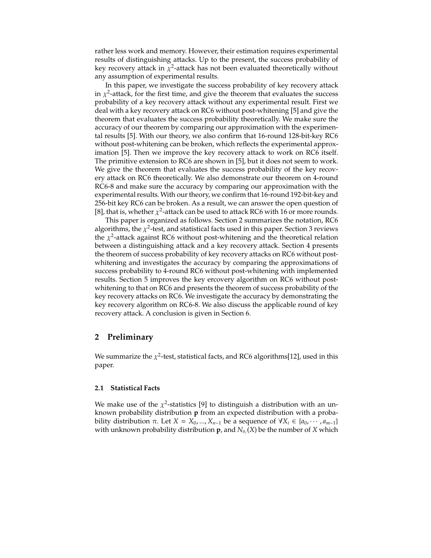rather less work and memory. However, their estimation requires experimental results of distinguishing attacks. Up to the present, the success probability of key recovery attack in  $\chi^2$ -attack has not been evaluated theoretically without any assumption of experimental results.

In this paper, we investigate the success probability of key recovery attack in  $\chi^2$ -attack, for the first time, and give the theorem that evaluates the success probability of a key recovery attack without any experimental result. First we deal with a key recovery attack on RC6 without post-whitening [5] and give the theorem that evaluates the success probability theoretically. We make sure the accuracy of our theorem by comparing our approximation with the experimental results [5]. With our theory, we also confirm that 16-round 128-bit-key RC6 without post-whitening can be broken, which reflects the experimental approximation [5]. Then we improve the key recovery attack to work on RC6 itself. The primitive extension to RC6 are shown in [5], but it does not seem to work. We give the theorem that evaluates the success probability of the key recovery attack on RC6 theoretically. We also demonstrate our theorem on 4-round RC6-8 and make sure the accuracy by comparing our approximation with the experimental results. With our theory, we confirm that 16-round 192-bit-key and 256-bit key RC6 can be broken. As a result, we can answer the open question of [8], that is, whether  $\chi^2$ -attack can be used to attack RC6 with 16 or more rounds.

This paper is organized as follows. Section 2 summarizes the notation, RC6 algorithms, the  $\chi^2$ -test, and statistical facts used in this paper. Section 3 reviews the  $\chi^2$ -attack against RC6 without post-whitening and the theoretical relation between a distinguishing attack and a key recovery attack. Section 4 presents the theorem of success probability of key recovery attacks on RC6 without postwhitening and investigates the accuracy by comparing the approximations of success probability to 4-round RC6 without post-whitening with implemented results. Section 5 improves the key ercovery algorithm on RC6 without postwhitening to that on RC6 and presents the theorem of success probability of the key recovery attacks on RC6. We investigate the accuracy by demonstrating the key recovery algorithm on RC6-8. We also discuss the applicable round of key recovery attack. A conclusion is given in Section 6.

## **2 Preliminary**

We summarize the  $\chi^2$ -test, statistical facts, and RC6 algorithms[12], used in this paper.

#### **2.1 Statistical Facts**

We make use of the  $\chi^2$ -statistics [9] to distinguish a distribution with an unknown probability distribution **p** from an expected distribution with a probability distribution  $\pi$ . Let  $X = X_0, ..., X_{n-1}$  be a sequence of  $\forall X_i \in \{a_0, ..., a_{m-1}\}\$ with unknown probability distribution  $\boldsymbol{p}$ , and  $N_{a_j}(X)$  be the number of  $X$  which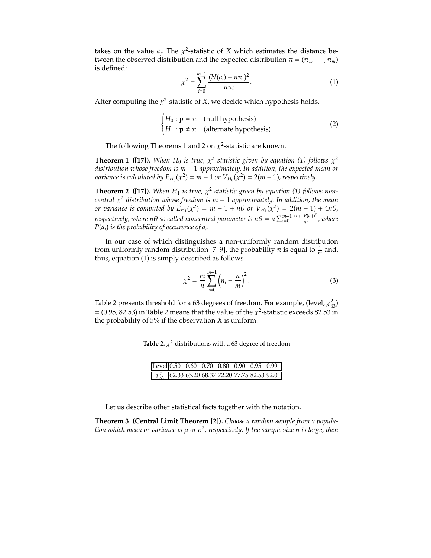takes on the value  $a_j$ . The  $\chi^2$ -statistic of *X* which estimates the distance between the observed distribution and the expected distribution  $\pi = (\pi_1, \dots, \pi_m)$ is defined:

$$
\chi^2 = \sum_{i=0}^{m-1} \frac{(N(a_i) - n\pi_i)^2}{n\pi_i}.
$$
 (1)

After computing the  $\chi^2$ -statistic of *X*, we decide which hypothesis holds.

$$
\begin{cases}\nH_0: \mathbf{p} = \pi \quad \text{(null hypothesis)} \\
H_1: \mathbf{p} \neq \pi \quad \text{(alternate hypothesis)}\n\end{cases}
$$
\n(2)

The following Theorems 1 and 2 on  $\chi^2$ -statistic are known.

**Theorem 1 ([17]).** *When*  $H_0$  *is true,*  $\chi^2$  *statistic given by equation* (1) *follows*  $\chi^2$ *distribution whose freedom is m* − 1 *approximately. In addition, the expected mean or variance is calculated by*  $E_{H_0}(\chi^2) = m - 1$  *or*  $V_{H_0}(\chi^2) = 2(m - 1)$ *, respectively.* 

**Theorem 2** ([17]). When  $H_1$  is true,  $\chi^2$  statistic given by equation (1) follows non*central*  $\chi^2$  *distribution whose freedom is m* − 1 *approximately. In addition, the mean or variance is computed by*  $E_{H_1}(\chi^2) = m - 1 + n\theta$  *or*  $V_{H_1}(\chi^2) = 2(m - 1) + 4n\theta$ ,  $r$ espectively, where  $n\theta$  so called noncentral parameter is  $n\theta = n \sum_{i=0}^{m-1} \frac{(\pi_i - P(a_i))^2}{\pi_i}$ , where *P*(*ai*) *is the probability of occurence of ai.*

In our case of which distinguishes a non-uniformly random distribution from uniformly random distribution [7–9], the probability  $\pi$  is equal to  $\frac{1}{m}$  and, thus, equation (1) is simply described as follows.

$$
\chi^2 = \frac{m}{n} \sum_{i=0}^{m-1} \left( n_i - \frac{n}{m} \right)^2.
$$
 (3)

Table 2 presents threshold for a 63 degrees of freedom. For example, (level,  $\chi_{63}^2$ ) = (0.95, 82.53) in Table 2 means that the value of the  $\chi^2$ -statistic exceeds 82.53 in the probability of 5% if the observation *X* is uniform.

**Table 2.**  $\chi^2$ -distributions with a 63 degree of freedom

| Level 0.50 0.60 0.70 0.80 0.90 0.95 0.99                |  |  |  |  |
|---------------------------------------------------------|--|--|--|--|
| $\chi_{63}^2$ 62.33 65.20 68.37 72.20 77.75 82.53 92.01 |  |  |  |  |

Let us describe other statistical facts together with the notation.

**Theorem 3 (Central Limit Theorem [2]).** *Choose a random sample from a population which mean or variance is* µ *or* σ<sup>2</sup>*, respectively. If the sample size n is large, then*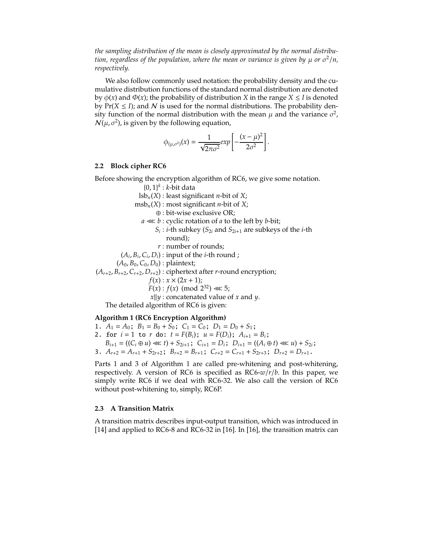*the sampling distribution of the mean is closely approximated by the normal distribution, regardless of the population, where the mean or variance is given by*  $\mu$  *or*  $\sigma^2/n$ *, respectively.*

We also follow commonly used notation: the probability density and the cumulative distribution functions of the standard normal distribution are denoted by  $\phi(x)$  and  $\Phi(x)$ ; the probability of distribution *X* in the range *X*  $\leq$  *I* is denoted by  $Pr(X \leq I)$ ; and N is used for the normal distributions. The probability density function of the normal distribution with the mean  $\mu$  and the variance  $\sigma^2$ ,  $N(\mu, \sigma^2)$ , is given by the following equation,

$$
\phi_{(\mu,\sigma^2)}(x) = \frac{1}{\sqrt{2\pi\sigma^2}} exp \left[ -\frac{(x-\mu)^2}{2\sigma^2} \right].
$$

#### **2.2 Block cipher RC6**

Before showing the encryption algorithm of RC6, we give some notation.

{0, 1} *<sup>k</sup>* : *k*-bit data

 $\text{lsb}_n(X)$ : least significant *n*-bit of *X*;

 $msb<sub>n</sub>(X)$ : most significant *n*-bit of *X*;

- ⊕ : bit-wise exclusive OR;
- *a* ≪ *b* : cyclic rotation of *a* to the left by *b*-bit;
	- $S_i$ : *i*-th subkey ( $S_{2i}$  and  $S_{2i+1}$  are subkeys of the *i*-th round);
	- *r* : number of rounds;
- $(A_i, B_i, C_i, D_i)$ : input of the *i*-th round ;

 $(A_0, B_0, C_0, D_0)$ : plaintext;

 $(A_{r+2}, B_{r+2}, C_{r+2}, D_{r+2})$ : ciphertext after *r*-round encryption;

 $f(x) : x \times (2x + 1);$ 

*F*(*x*) : *f*(*x*) (mod  $2^{32}$ ) ≪ 5;

*x*||*y* : concatenated value of *x* and *y*.

The detailed algorithm of RC6 is given:

#### **Algorithm 1 (RC6 Encryption Algorithm)**

- 1.  $A_1 = A_0$ ;  $B_1 = B_0 + S_0$ ;  $C_1 = C_0$ ;  $D_1 = D_0 + S_1$ ;
- 2. for  $i = 1$  to  $r$  do:  $t = F(B_i)$ ;  $u = F(D_i)$ ;  $A_{i+1} = B_i$ ;
	- $B_{i+1} = ((C_i \oplus u) \ll t) + S_{2i+1}; C_{i+1} = D_i; D_{i+1} = ((A_i \oplus t) \ll u) + S_{2i};$
- 3.  $A_{r+2} = A_{r+1} + S_{2r+2}$ ;  $B_{r+2} = B_{r+1}$ ;  $C_{r+2} = C_{r+1} + S_{2r+3}$ ;  $D_{r+2} = D_{r+1}$ .

Parts 1 and 3 of Algorithm 1 are called pre-whitening and post-whitening, respectively. A version of RC6 is specified as RC6-*w*/*r*/*b*. In this paper, we simply write RC6 if we deal with RC6-32. We also call the version of RC6 without post-whitening to, simply, RC6P.

#### **2.3 A Transition Matrix**

A transition matrix describes input-output transition, which was introduced in [14] and applied to RC6-8 and RC6-32 in [16]. In [16], the transition matrix can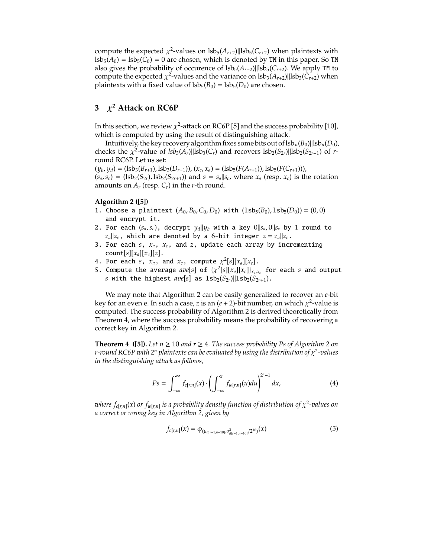compute the expected  $\chi^2$ -values on  $\text{lsb}_5(A_{r+2})$ ||lsb<sub>5</sub>( $C_{r+2}$ ) when plaintexts with  $\text{lsb}_5(A_0) = \text{lsb}_5(C_0) = 0$  are chosen, which is denoted by TM in this paper. So TM also gives the probability of occurence of  $lsb<sub>5</sub>(A<sub>r+2</sub>)||lsb<sub>5</sub>(C<sub>r+2</sub>)$ . We apply TM to compute the expected  $\chi^2$ -values and the variance on  $\text{lsb}_3(A_{r+2})$ || $\text{lsb}_3(C_{r+2})$  when plaintexts with a fixed value of  $lsb_5(B_0) = lsb_5(D_0)$  are chosen.

## **3** χ**<sup>2</sup> Attack on RC6P**

In this section, we review  $\chi^2$ -attack on RC6P [5] and the success probability [10], which is computed by using the result of distinguishing attack.

Intuitively, the key recovery algorithm fixes some bits out of  $\frac{|B_n(B_0)||\text{lsb}_n(D_0)}{|\text{lsb}_n(D_0)|}$ checks the  $\chi^2$ -value of  $lsb_3(A_r)||lsb_3(C_r)$  and recovers  $lsb_2(S_{2r})||lsb_2(S_{2r+1})$  of *r*round RC6P. Let us set:

 $(\psi_b, \psi_d) = (\text{lsb}_3(B_{r+1}), \text{lsb}_3(D_{r+1})), (\chi_c, \chi_d) = (\text{lsb}_5(F(A_{r+1})), \text{lsb}_5(F(C_{r+1}))),$  $(s_a, s_c) = (lsb_2(S_{2r}), lsb_2(S_{2r+1}))$  and  $s = s_a||s_c$ , where  $x_a$  (resp.  $x_c$ ) is the rotation amounts on  $A_r$  (resp.  $C_r$ ) in the *r*-th round.

#### **Algorithm 2 ([5])**

- 1. Choose a plaintext  $(A_0, B_0, C_0, D_0)$  with  $(1sb_5(B_0), 1sb_5(D_0)) = (0, 0)$ and encrypt it.
- 2. For each  $(s_a, s_c)$ , decrypt  $y_d||y_b$  with a key  $0||s_a, 0||s_c$  by 1 round to  $|z_a||z_c$ , which are denoted by a 6-bit integer  $z = z_a||z_c$ .
- 3. For each *s*, *xa*, *xc*, and *z*, update each array by incrementing count[ $s$ ][ $x_a$ ][ $x_c$ ][ $z$ ].
- 4. For each *s*,  $x_a$ , and  $x_c$ , compute  $\chi^2[s][x_a][x_c]$ .
- 5. Compute the average  $ave[s]$  of  $\{\chi^2[s][x_a][x_c]\}_{x_a,x_c}$  for each *s* and output *s* with the highest  $ave[s]$  as  $1sb_2(S_{2r})||1sb_2(S_{2r+1})$ .

We may note that Algorithm 2 can be easily generalized to recover an *e*-bit key for an even e. In such a case, *z* is an  $(e + 2)$ -bit number, on which  $\chi^2$ -value is computed. The success probability of Algorithm 2 is derived theoretically from Theorem 4, where the success probability means the probability of recovering a correct key in Algorithm 2.

**Theorem 4** ([5]). Let  $n \ge 10$  and  $r \ge 4$ . The success probability Ps of Algorithm 2 on *r-round RC6P with*  $2^n$  *plaintexts can be evaluated by using the distribution of*  $\chi^2$ *-values in the distinguishing attack as follows,*

$$
Ps = \int_{-\infty}^{\infty} f_{c[r,n]}(x) \cdot \left( \int_{-\infty}^{x} f_{w[r,n]}(u) du \right)^{2^{e}-1} dx,
$$
 (4)

*where*  $f_{c[r,n]}(x)$  *or*  $f_{w[r,n]}$  *is a probability density function of distribution of*  $\chi^2$ -values on *a correct or wrong key in Algorithm 2, given by*

$$
f_{c[r,n]}(x) = \phi_{(\mu_{d[r-1,n-10]},\sigma^2_{d[r-1,n-10]}/2^{10})}(x)
$$
\n(5)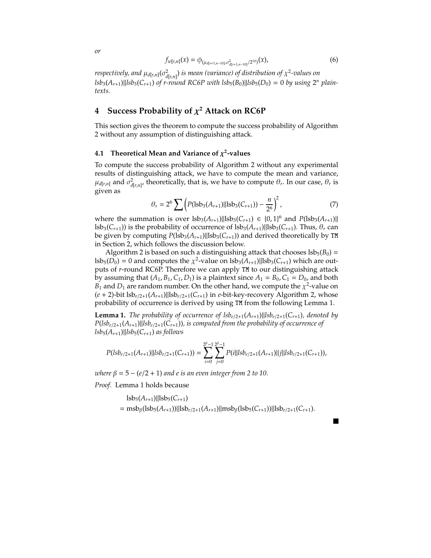$$
f_{w[r,n]}(x) = \phi_{(\mu_{d[r+1,n-10]},\sigma^2_{d[r+1,n-10]}/2^{10})}(x),
$$
\n(6)

 $\alpha$  *respectively, and*  $\mu_{d[r,n]}(\sigma^2_{d[r,n]})$  *is mean (variance) of distribution of*  $\chi^2$ *-values on*  $lsb_3(A_{r+1})$ || $lsb_3(C_{r+1})$  *of r-round RC6P with*  $lsb_5(B_0)$ *||* $lsb_5(D_0) = 0$  *by using*  $2^n$  *plaintexts.*

## **4 Success Probability of** χ**<sup>2</sup> Attack on RC6P**

This section gives the theorem to compute the success probability of Algorithm 2 without any assumption of distinguishing attack.

#### **4.1 Theoretical Mean and Variance of**  $\chi^2$ **-values**

To compute the success probability of Algorithm 2 without any experimental results of distinguishing attack, we have to compute the mean and variance,  $\mu_{d[r,n]}$  and  $\sigma^2_{d[r,n]}$ , theoretically, that is, we have to compute  $\theta_r$ . In our case,  $\theta_r$  is given as

$$
\theta_r = 2^6 \sum \left( P(\text{lsb}_3(A_{r+1})||\text{lsb}_3(C_{r+1})) - \frac{n}{2^6} \right)^2, \tag{7}
$$

where the summation is over  $lsb_3(A_{r+1})||lsb_3(C_{r+1}) ∈ {0, 1}^6$  and  $P(lsb_3(A_{r+1})||$ lsb<sub>3</sub>( $C_{r+1}$ )) is the probability of occurrence of lsb<sub>3</sub>( $A_{r+1}$ )||lsb<sub>3</sub>( $C_{r+1}$ ). Thus,  $\theta_r$  can be given by computing  $P(1s^2(A_{r+1})||1s^2(C_{r+1}))$  and derived theoretically by TM in Section 2, which follows the discussion below.

Algorithm 2 is based on such a distinguishing attack that chooses  $lsb_5(B_0)$  =  $\text{lsb}_5(D_0) = 0$  and computes the  $\chi^2$ -value on  $\text{lsb}_3(A_{r+1})$ || $\text{lsb}_3(C_{r+1})$  which are outputs of *r*-round RC6P. Therefore we can apply TM to our distinguishing attack by assuming that  $(A_1, B_1, C_1, D_1)$  is a plaintext since  $A_1 = B_0, C_1 = D_0$ , and both  $B_1$  and  $D_1$  are random number. On the other hand, we compute the  $\chi^2$ -value on (*e* + 2)-bit lsb*e*/2<sup>+</sup>1(*Ar*+1)||lsb*e*/2<sup>+</sup>1(*Cr*+1) in *e*-bit-key-recovery Algorithm 2, whose probability of occurrence is derived by using TM from the following Lemma 1.

**Lemma 1.** *The probability of occurrence of*  $lsb_{e/2+1}(A_{r+1})||lsb_{e/2+1}(C_{r+1})$ *, denoted by*  $P(lsb_{e/2+1}(A_{r+1})||lsb_{e/2+1}(C_{r+1}))$ *, is computed from the probability of occurrence of*  $lsb_5(A_{r+1})$ || $lsb_5(C_{r+1})$  *as follows* 

$$
P(lsb_{e/2+1}(A_{r+1})||lsb_{e/2+1}(C_{r+1})) = \sum_{i=0}^{2^{\beta}-1} \sum_{j=0}^{2^{\beta}-1} P(i||lsb_{e/2+1}(A_{r+1})||j||lsb_{e/2+1}(C_{r+1})),
$$

*where*  $\beta = 5 - (e/2 + 1)$  *and e is an even integer from* 2 to 10.

*Proof.* Lemma 1 holds because

$$
lsb5(Ar+1)||lsb5(Cr+1)
$$
  
= msb <sub>$\beta$</sub> (lsb<sub>5</sub>(A<sub>r+1</sub>))||lsb<sub>e/2+1</sub>(A<sub>r+1</sub>)||msb <sub>$\beta$</sub> (lsb<sub>5</sub>(C<sub>r+1</sub>))||lsb<sub>e/2+1</sub>(C<sub>r+1</sub>).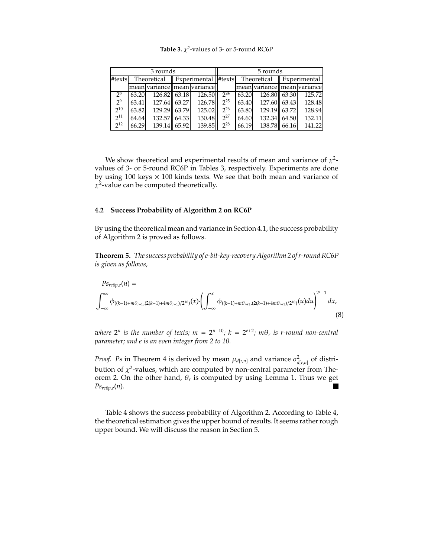|          | 3 rounds |              |  |                                                         |          |       | 5 rounds                    |              |              |
|----------|----------|--------------|--|---------------------------------------------------------|----------|-------|-----------------------------|--------------|--------------|
| #texts   |          | Theoretical  |  | $\parallel$ Experimental $\parallel$ #texts $\parallel$ |          |       | Theoretical                 | $\mathbf{H}$ | Experimental |
|          |          |              |  | mean variance   mean variance                           |          |       | mean variance mean variance |              |              |
| 28       | 63.20    | 126.82 63.18 |  | 126.50                                                  | $2^{24}$ | 63.20 | 126.80 63.30                |              | 125.72       |
| $2^9$    | 63.41    | 127.64 63.27 |  | 126.78                                                  | $2^{25}$ | 63.40 | 127.60 63.43                |              | 128.48       |
| $2^{10}$ | 63.82    | 129.29 63.79 |  | 125.02                                                  | $2^{26}$ | 63.80 | 129.19 63.72                |              | 128.94       |
| $2^{11}$ | 64.64    | 132.57 64.33 |  | 130.48                                                  | $2^{27}$ | 64.60 | 132.34 64.50                |              | 132.11       |
| $2^{12}$ | 66.29    | 139.14 65.92 |  | 139.85                                                  | $2^{28}$ | 66.19 | 138.78 66.16                |              | 141.22       |

**Table 3.**  $\chi^2$ -values of 3- or 5-round RC6P

We show theoretical and experimental results of mean and variance of  $\chi^2$ values of 3- or 5-round RC6P in Tables 3, respectively. Experiments are done by using  $100$  keys  $\times$   $100$  kinds texts. We see that both mean and variance of  $\chi^2$ -value can be computed theoretically.

#### **4.2 Success Probability of Algorithm 2 on RC6P**

By using the theoretical mean and variance in Section 4.1, the success probability of Algorithm 2 is proved as follows.

**Theorem 5.** *The success probability of e-bit-key-recovery Algorithm 2 of r-round RC6P is given as follows,*

$$
P_{S_{rcbp,e}}(n) = \int_{-\infty}^{\infty} \phi_{((k-1)+m\theta_{r-1},(2(k-1)+4m\theta_{r-1})/2^{10})}(x) \cdot \left(\int_{-\infty}^{x} \phi_{((k-1)+m\theta_{r+1},(2(k-1)+4m\theta_{r+1})/2^{10})}(u) du\right)^{2^{e}-1} dx,
$$
\n(8)

*where*  $2^n$  *is the number of texts;*  $m = 2^{n-10}$ *;*  $k = 2^{e+2}$ *;*  $m\theta_r$  *is r-round non-central parameter; and e is an even integer from 2 to 10.*

*Proof. Ps* in Theorem 4 is derived by mean  $\mu_{d[r,n]}$  and variance  $\sigma^2_{d[r,n]}$  of distribution of  $\chi^2$ -values, which are computed by non-central parameter from Theorem 2. On the other hand,  $\theta_r$  is computed by using Lemma 1. Thus we get  $Ps_{rc6p,e}(n)$ .  $\blacksquare$ 

Table 4 shows the success probability of Algorithm 2. According to Table 4, the theoretical estimation gives the upper bound of results. It seems rather rough upper bound. We will discuss the reason in Section 5.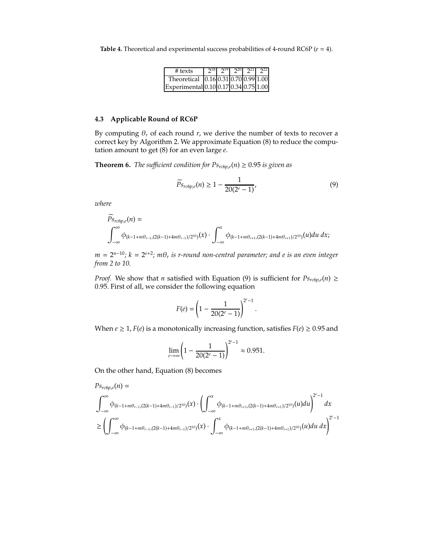**Table 4.** Theoretical and experimental success probabilities of 4-round RC6P (*e* = 4).

| $\#$ texts                            |  |  | $2^{18}$ $2^{19}$ $2^{20}$ $2^{21}$ $2^{22}$ |
|---------------------------------------|--|--|----------------------------------------------|
| Theoretical 0.16 0.31 0.70 0.99 1.00  |  |  |                                              |
| Experimental 0.10 0.17 0.34 0.75 1.00 |  |  |                                              |

#### **4.3 Applicable Round of RC6P**

By computing  $\theta_r$  of each round  $r$ , we derive the number of texts to recover a correct key by Algorithm 2. We approximate Equation (8) to reduce the computation amount to get (8) for an even large *e*.

**Theorem 6.** *The sufficient condition for*  $Ps_{rc6p,e}(n) \geq 0.95$  *is given as* 

$$
\widetilde{P}_{Srcbp,e}(n) \ge 1 - \frac{1}{20(2^e - 1)},\tag{9}
$$

*where*

 $\overline{\phantom{0}}$ 

$$
P_{S_{rc}\phi_{p,e}}(n) = \int_{-\infty}^{\infty} \phi_{(k-1+m\theta_{r-1},(2(k-1)+4m\theta_{r-1})/2^{10})}(x) \cdot \int_{-\infty}^{x} \phi_{(k-1+m\theta_{r+1},(2(k-1)+4m\theta_{r+1})/2^{10})}(u) du dx;
$$

*m* = 2*n*−<sup>10</sup>*; k* = 2*e*+<sup>2</sup>*; m*θ*<sup>r</sup> is r-round non-central parameter; and e is an even integer from 2 to 10.*

*Proof.* We show that *n* satisfied with Equation (9) is sufficient for  $Ps_{rcbp,e}(n) \ge$ 0.95. First of all, we consider the following equation

$$
F(e) = \left(1 - \frac{1}{20(2^e - 1)}\right)^{2^e - 1}.
$$

When  $e \ge 1$ ,  $F(e)$  is a monotonically increasing function, satisfies  $F(e) \ge 0.95$  and

$$
\lim_{e \to \infty} \left( 1 - \frac{1}{20(2^e - 1)} \right)^{2^e - 1} \approx 0.951.
$$

On the other hand, Equation (8) becomes

$$
P_{S_{rcbp,e}}(n) =
$$
\n
$$
\int_{-\infty}^{\infty} \phi_{(k-1+m\theta_{r-1},(2(k-1)+4m\theta_{r-1})/2^{10})}(x) \cdot \left(\int_{-\infty}^{x} \phi_{(k-1+m\theta_{r+1},(2(k-1)+4m\theta_{r+1})/2^{10})}(u) du\right)^{2^{e}-1} dx
$$
\n
$$
\geq \left(\int_{-\infty}^{\infty} \phi_{(k-1+m\theta_{r-1},(2(k-1)+4m\theta_{r-1})/2^{10})}(x) \cdot \int_{-\infty}^{x} \phi_{(k-1+m\theta_{r+1},(2(k-1)+4m\theta_{r+1})/2^{10})}(u) du dx\right)^{2^{e}-1}
$$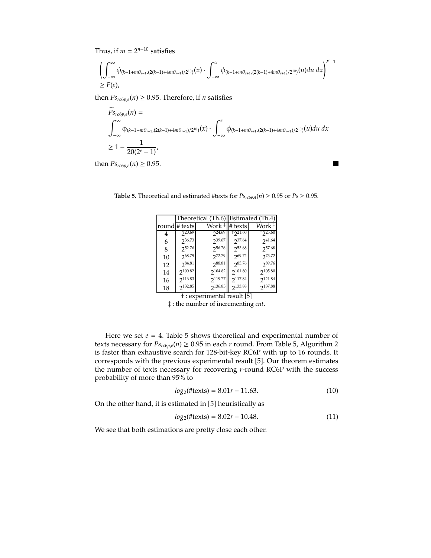Thus, if  $m = 2^{n-10}$  satisfies

$$
\left(\int_{-\infty}^{\infty} \phi_{(k-1+m\theta_{r-1},(2(k-1)+4m\theta_{r-1})/2^{10})}(x) \cdot \int_{-\infty}^{x} \phi_{(k-1+m\theta_{r+1},(2(k-1)+4m\theta_{r+1})/2^{10})}(u) du dx\right)^{2^{e}-1}
$$
  
\n
$$
\geq F(e),
$$

then  $Ps_{rc6p,e}(n) \ge 0.95$ . Therefore, if *n* satisfies

$$
\overline{P}_{S_{rcbp,e}}(n) = \int_{-\infty}^{\infty} \phi_{(k-1+m\theta_{r-1},(2(k-1)+4m\theta_{r-1})/2^{10})}(x) \cdot \int_{-\infty}^{x} \phi_{(k-1+m\theta_{r+1},(2(k-1)+4m\theta_{r+1})/2^{10})}(u) du dx
$$
\n
$$
\geq 1 - \frac{1}{20(2^e - 1)},
$$

then  $Ps_{rc6p,e}(n) \geq 0.95$ .

 $\blacksquare$ 

|    |                     | Theoretical (Th.6) Estimated (Th.4) |             |              |
|----|---------------------|-------------------------------------|-------------|--------------|
|    | round # texts       | Work ‡                              | # texts     | Work ‡       |
|    | $2^{20.69}$         | $2^{24.69}$                         | $+221.60$   | $+225.60$    |
| 6  | 236.73              | 239.67                              | 237.64      | $2^{41.64}$  |
| 8  | 252.76              | 256.76                              | 253.68      | 257.68       |
| 10 | 268.79              | 272.79                              | $2^{69.72}$ | 273.72       |
| 12 | $2^{84.81}$         | 288.81                              | $2^{85.76}$ | 289.76       |
| 14 | 2 <sup>100.82</sup> | 2 <sup>104.82</sup>                 | 2101.80     | 2105.80      |
| 16 | $2^{116.83}$        | 2119.77                             | 2117.84     | 2121.84      |
| 18 | 2132.85             | 2136.85                             | 2133.88     | $2^{137.88}$ |
|    |                     |                                     |             |              |

**Table 5.** Theoretical and estimated #texts for  $Ps_{rc6p,4}(n) \ge 0.95$  or  $Ps \ge 0.95$ .

† : experimental result [5]

‡ : the number of incrementing *cnt*.

Here we set  $e = 4$ . Table 5 shows theoretical and experimental number of texts necessary for  $Ps_{rcbp,e}(n) \geq 0.95$  in each *r* round. From Table 5, Algorithm 2 is faster than exhaustive search for 128-bit-key RC6P with up to 16 rounds. It corresponds with the previous experimental result [5]. Our theorem estimates the number of texts necessary for recovering *r*-round RC6P with the success probability of more than 95% to

$$
log_2(\text{#texts}) = 8.01r - 11.63. \tag{10}
$$

On the other hand, it is estimated in [5] heuristically as

$$
log_2(\text{#texts}) = 8.02r - 10.48. \tag{11}
$$

We see that both estimations are pretty close each other.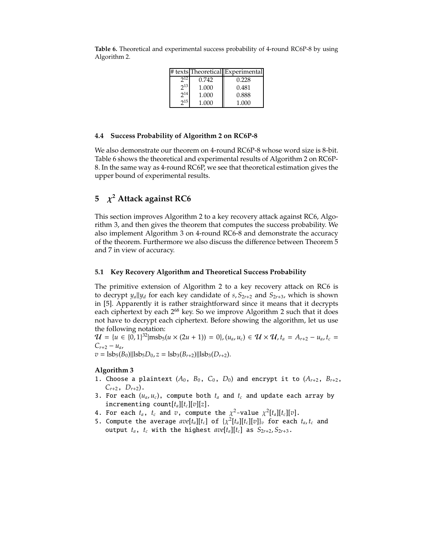|          |       | # texts Theoretical Experimental |
|----------|-------|----------------------------------|
|          | 0.742 | 0.228                            |
| $2^{13}$ | 1.000 | 0.481                            |
| $2^{14}$ | 1.000 | 0.888                            |
| $2^{15}$ | 1.000 | 1.000                            |

**Table 6.** Theoretical and experimental success probability of 4-round RC6P-8 by using Algorithm 2.

#### **4.4 Success Probability of Algorithm 2 on RC6P-8**

We also demonstrate our theorem on 4-round RC6P-8 whose word size is 8-bit. Table 6 shows the theoretical and experimental results of Algorithm 2 on RC6P-8. In the same way as 4-round RC6P, we see that theoretical estimation gives the upper bound of experimental results.

## **5** χ**<sup>2</sup> Attack against RC6**

This section improves Algorithm 2 to a key recovery attack against RC6, Algorithm 3, and then gives the theorem that computes the success probability. We also implement Algorithm 3 on 4-round RC6-8 and demonstrate the accuracy of the theorem. Furthermore we also discuss the difference between Theorem 5 and 7 in view of accuracy.

### **5.1 Key Recovery Algorithm and Theoretical Success Probability**

The primitive extension of Algorithm 2 to a key recovery attack on RC6 is to decrypt  $y_a||y_a$  for each key candidate of  $s, S_{2r+2}$  and  $S_{2r+3}$ , which is shown in [5]. Apparently it is rather straightforward since it means that it decrypts each ciphertext by each 2<sup>68</sup> key. So we improve Algorithm 2 such that it does not have to decrypt each ciphertext. Before showing the algorithm, let us use the following notation:

 $\mathcal{U} = \{u \in \{0, 1\}^{32} | \text{msb}_5(u \times (2u + 1)) = 0\}, (u_a, u_c) \in \mathcal{U} \times \mathcal{U}, t_a = A_{r+2} - u_a, t_c = 0\}$  $C_{r+2} - u_a$  $v =$  lsb<sub>5</sub>(*B*<sub>0</sub>)||lsb<sub>5</sub>*D*<sub>0</sub>, *z* = lsb<sub>3</sub>(*B*<sub>*r*+2</sub>)||lsb<sub>3</sub>(*D*<sub>*r*+2</sub>).

## **Algorithm 3**

- 1. Choose a plaintext  $(A_0, B_0, C_0, D_0)$  and encrypt it to  $(A_{r+2}, B_{r+2},$  $C_{r+2}$ ,  $D_{r+2}$ ).
- 3. For each  $(u_a, u_c)$ , compute both  $t_a$  and  $t_c$  and update each array by incrementing count $[t_a][t_c][v][z]$ .
- 4. For each  $t_a$ ,  $t_c$  and  $\overline{v}$ , compute the  $\chi^2$ -value  $\chi^2[t_a][t_c][v]$ .
- 5. Compute the average  $ave[t_a][t_c]$  of  $\{\chi^2[t_a][t_c][v]\}_v$  for each  $t_a, t_c$  and output  $t_a$ ,  $t_c$  with the highest  $ave[t_a][t_c]$  as  $S_{2r+2}, S_{2r+3}$ .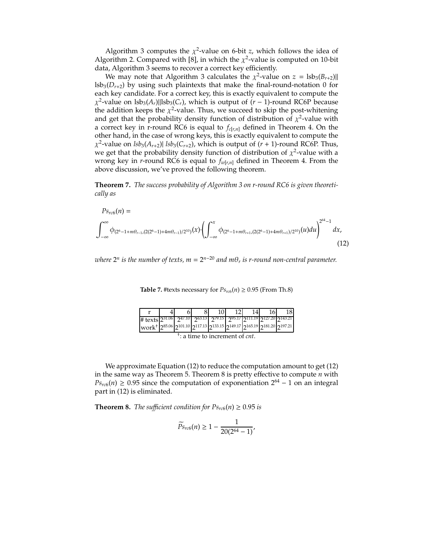Algorithm 3 computes the  $\chi^2$ -value on 6-bit *z*, which follows the idea of Algorithm 2. Compared with [8], in which the  $\chi^2$ -value is computed on 10-bit data, Algorithm 3 seems to recover a correct key efficiently.

We may note that Algorithm 3 calculates the  $\chi^2$ -value on  $z = \text{lsb}_3(B_{r+2})$ ||  $\text{lsb}_3(D_{r+2})$  by using such plaintexts that make the final-round-notation 0 for each key candidate. For a correct key, this is exactly equivalent to compute the  $\chi^2$ -value on lsb<sub>3</sub>( $A_r$ )||lsb<sub>3</sub>( $C_r$ ), which is output of (*r* − 1)-round RC6P because the addition keeps the  $\chi^2$ -value. Thus, we succeed to skip the post-whitening and get that the probability density function of distribution of  $\chi^2$ -value with a correct key in r-round RC6 is equal to  $f_{c[r,n]}$  defined in Theorem 4. On the other hand, in the case of wrong keys, this is exactly equivalent to compute the  $\chi^2$ -value on  $\frac{lsb_3(A_{r+2})}{2}$  *lsb*<sub>3</sub>( $C_{r+2}$ ), which is output of (*r* + 1)-round RC6P. Thus, we get that the probability density function of distribution of  $\chi^2$ -value with a wrong key in *r*-round RC6 is equal to *fw*[*r*,*n*] defined in Theorem 4. From the above discussion, we've proved the following theorem.

**Theorem 7.** *The success probability of Algorithm 3 on r-round RC6 is given theoretically as*

$$
P_{s_{rc6}}(n) = \int_{-\infty}^{\infty} \phi_{(2^6 - 1 + m\theta_{r-1}, (2(2^6 - 1) + 4m\theta_{r-1})/2^{10})}(x) \cdot \left( \int_{-\infty}^{x} \phi_{(2^6 - 1 + m\theta_{r+1}, (2(2^6 - 1) + 4m\theta_{r+1})/2^{10})}(u) du \right)^{2^{64} - 1} dx,
$$
\n(12)

*where*  $2^n$  *is the number of texts, m* =  $2^{n-20}$  *and m* $\theta_r$  *is r-round non-central parameter.* 

|                                                                                  |                                                    |  |  |  |  |  |                                                                                        | 18 |  |
|----------------------------------------------------------------------------------|----------------------------------------------------|--|--|--|--|--|----------------------------------------------------------------------------------------|----|--|
| # texts $2^{31.06}$                                                              |                                                    |  |  |  |  |  | $2^{47.10}$ $2^{63.13}$ $2^{79.15}$ $2^{95.17}$ $2^{111.19}$ $2^{127.20}$ $2^{143.21}$ |    |  |
| work <sup>+</sup> 285.06 2101.10 2117.13 2133.15 2149.17 2165.19 2181.20 2197.21 |                                                    |  |  |  |  |  |                                                                                        |    |  |
|                                                                                  | <sup>†</sup> : a time to increment of <i>cnt</i> . |  |  |  |  |  |                                                                                        |    |  |

**Table 7.** #texts necessary for  $Ps_{rc6}(n) \ge 0.95$  (From Th.8)

We approximate Equation (12) to reduce the computation amount to get (12) in the same way as Theorem 5. Theorem 8 is pretty effective to compute *n* with  $Ps_{rc6}(n) \ge 0.95$  since the computation of exponentiation  $2^{64} - 1$  on an integral part in (12) is eliminated.

**Theorem 8.** *The sufficient condition for*  $Ps_{rc6}(n) \geq 0.95$  *is* 

$$
\widetilde{P}_{\text{S}_{rc6}}(n) \ge 1 - \frac{1}{20(2^{64} - 1)},
$$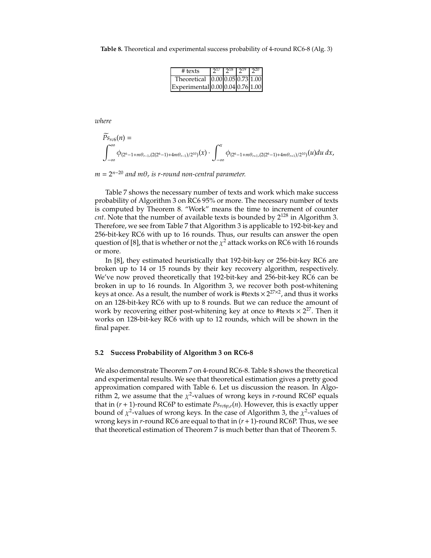**Table 8.** Theoretical and experimental success probability of 4-round RC6-8 (Alg. 3)

| # texts                          |  | $2^{17}$ $2^{18}$ $2^{19}$ $2^{20}$ |  |
|----------------------------------|--|-------------------------------------|--|
| Theoretical 0.00 0.05 0.73 1.00  |  |                                     |  |
| Experimental 0.00 0.04 0.76 1.00 |  |                                     |  |

*where*

$$
\overline{P}_{S_{rc6}}(n) = \int_{-\infty}^{\infty} \phi_{(2^6 - 1 + m\theta_{r-1}, (2(2^6 - 1) + 4m\theta_{r-1})/2^{10})}(x) \cdot \int_{-\infty}^{x} \phi_{(2^6 - 1 + m\theta_{r+1}, (2(2^6 - 1) + 4m\theta_{r+1})/2^{10})}(u) du dx,
$$

 $m = 2^{n-20}$  *and*  $m\theta_r$  *is r-round non-central parameter.* 

Table 7 shows the necessary number of texts and work which make success probability of Algorithm 3 on RC6 95% or more. The necessary number of texts is computed by Theorem 8. "Work" means the time to increment of counter *cnt*. Note that the number of available texts is bounded by  $2^{128}$  in Algorithm 3. Therefore, we see from Table 7 that Algorithm 3 is applicable to 192-bit-key and 256-bit-key RC6 with up to 16 rounds. Thus, our results can answer the open question of [8], that is whether or not the  $\chi^2$  attack works on RC6 with 16 rounds or more.

In [8], they estimated heuristically that 192-bit-key or 256-bit-key RC6 are broken up to 14 or 15 rounds by their key recovery algorithm, respectively. We've now proved theoretically that 192-bit-key and 256-bit-key RC6 can be broken in up to 16 rounds. In Algorithm 3, we recover both post-whitening keys at once. As a result, the number of work is #texts  $\times 2^{27\times2}$ , and thus it works on an 128-bit-key RC6 with up to 8 rounds. But we can reduce the amount of work by recovering either post-whitening key at once to #texts  $\times 2^{27}$ . Then it works on 128-bit-key RC6 with up to 12 rounds, which will be shown in the final paper.

#### **5.2 Success Probability of Algorithm 3 on RC6-8**

We also demonstrate Theorem 7 on 4-round RC6-8. Table 8 shows the theoretical and experimental results. We see that theoretical estimation gives a pretty good approximation compared with Table 6. Let us discussion the reason. In Algorithm 2, we assume that the  $\chi^2$ -values of wrong keys in *r*-round RC6P equals that in  $(r + 1)$ -round RC6P to estimate  $Ps_{rc6p,e}(n)$ . However, this is exactly upper bound of  $\chi^2$ -values of wrong keys. In the case of Algorithm 3, the  $\chi^2$ -values of wrong keys in *r*-round RC6 are equal to that in (*r*+1)-round RC6P. Thus, we see that theoretical estimation of Theorem 7 is much better than that of Theorem 5.